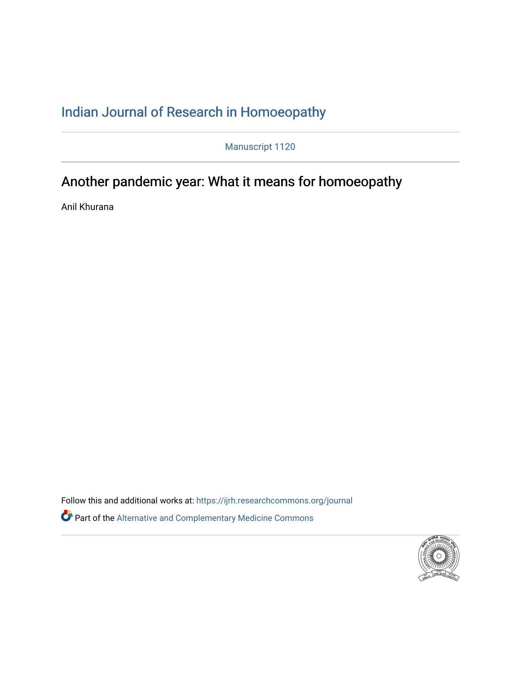## [Indian Journal of Research in Homoeopathy](https://ijrh.researchcommons.org/journal)

Manuscript 1120

# Another pandemic year: What it means for homoeopathy

Anil Khurana

Follow this and additional works at: https://ijrh.researchcommons.org/journal Part of the [Alternative and Complementary Medicine Commons](http://network.bepress.com/hgg/discipline/649?utm_source=ijrh.researchcommons.org%2Fjournal%2Fvol15%2Fiss4%2F1&utm_medium=PDF&utm_campaign=PDFCoverPages) 

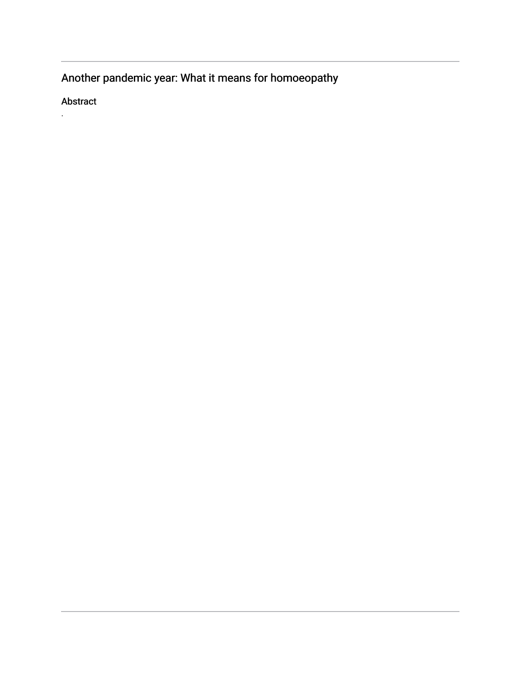# Another pandemic year: What it means for homoeopathy

Abstract

.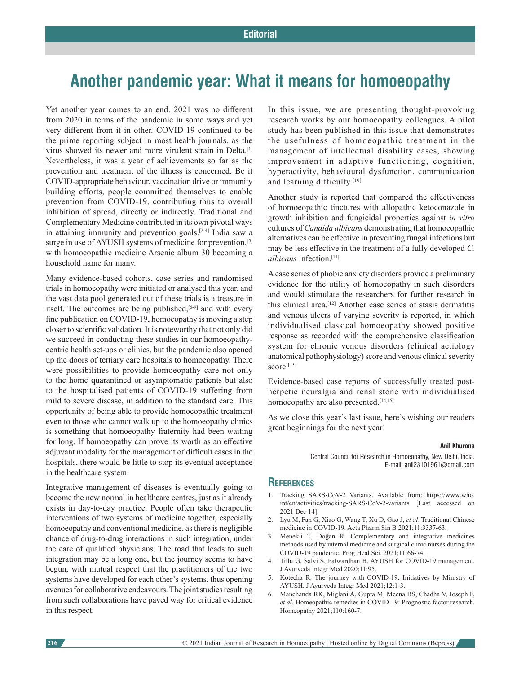# **Another pandemic year: What it means for homoeopathy**

Yet another year comes to an end. 2021 was no different from 2020 in terms of the pandemic in some ways and yet very different from it in other. COVID-19 continued to be the prime reporting subject in most health journals, as the virus showed its newer and more virulent strain in Delta.[1] Nevertheless, it was a year of achievements so far as the prevention and treatment of the illness is concerned. Be it COVID-appropriate behaviour, vaccination drive or immunity building efforts, people committed themselves to enable prevention from COVID-19, contributing thus to overall inhibition of spread, directly or indirectly. Traditional and Complementary Medicine contributed in its own pivotal ways in attaining immunity and prevention goals.<sup>[2-4]</sup> India saw a surge in use of AYUSH systems of medicine for prevention, [5] with homoeopathic medicine Arsenic album 30 becoming a household name for many.

Many evidence-based cohorts, case series and randomised trials in homoeopathy were initiated or analysed this year, and the vast data pool generated out of these trials is a treasure in itself. The outcomes are being published,<sup>[6-9]</sup> and with every fine publication on COVID-19, homoeopathy is moving a step closer to scientific validation. It is noteworthy that not only did we succeed in conducting these studies in our homoeopathycentric health set-ups or clinics, but the pandemic also opened up the doors of tertiary care hospitals to homoeopathy. There were possibilities to provide homoeopathy care not only to the home quarantined or asymptomatic patients but also to the hospitalised patients of COVID-19 suffering from mild to severe disease, in addition to the standard care. This opportunity of being able to provide homoeopathic treatment even to those who cannot walk up to the homoeopathy clinics is something that homoeopathy fraternity had been waiting for long. If homoeopathy can prove its worth as an effective adjuvant modality for the management of difficult cases in the hospitals, there would be little to stop its eventual acceptance in the healthcare system.

Integrative management of diseases is eventually going to become the new normal in healthcare centres, just as it already exists in day-to-day practice. People often take therapeutic interventions of two systems of medicine together, especially homoeopathy and conventional medicine, as there is negligible chance of drug-to-drug interactions in such integration, under the care of qualified physicians. The road that leads to such integration may be a long one, but the journey seems to have begun, with mutual respect that the practitioners of the two systems have developed for each other's systems, thus opening avenues for collaborative endeavours. The joint studies resulting from such collaborations have paved way for critical evidence in this respect.

In this issue, we are presenting thought-provoking research works by our homoeopathy colleagues. A pilot study has been published in this issue that demonstrates the usefulness of homoeopathic treatment in the management of intellectual disability cases, showing improvement in adaptive functioning, cognition, hyperactivity, behavioural dysfunction, communication and learning difficulty.[10]

Another study is reported that compared the effectiveness of homoeopathic tinctures with allopathic ketoconazole in growth inhibition and fungicidal properties against *in vitro* cultures of *Candida albicans* demonstrating that homoeopathic alternatives can be effective in preventing fungal infections but may be less effective in the treatment of a fully developed *C. albicans* infection.[11]

A case series of phobic anxiety disorders provide a preliminary evidence for the utility of homoeopathy in such disorders and would stimulate the researchers for further research in this clinical area.[12] Another case series of stasis dermatitis and venous ulcers of varying severity is reported, in which individualised classical homoeopathy showed positive response as recorded with the comprehensive classification system for chronic venous disorders (clinical aetiology anatomical pathophysiology) score and venous clinical severity score.<sup>[13]</sup>

Evidence-based case reports of successfully treated postherpetic neuralgia and renal stone with individualised homoeopathy are also presented.<sup>[14,15]</sup>

As we close this year's last issue, here's wishing our readers great beginnings for the next year!

#### **Anil Khurana**

Central Council for Research in Homoeopathy, New Delhi, India. E-mail: anil23101961@gmail.com

### **References**

- 1. Tracking SARS-CoV-2 Variants. Available from: https://www.who. int/en/activities/tracking-SARS-CoV-2-variants [Last accessed on 2021 Dec 14].
- 2. Lyu M, Fan G, Xiao G, Wang T, Xu D, Gao J, *et al*. Traditional Chinese medicine in COVID-19. Acta Pharm Sin B 2021;11:3337-63.
- 3. Menekli T, Doğan R. Complementary and integrative medicines methods used by internal medicine and surgical clinic nurses during the COVID-19 pandemic. Prog Heal Sci. 2021;11:66-74.
- 4. Tillu G, Salvi S, Patwardhan B. AYUSH for COVID-19 management. J Ayurveda Integr Med 2020;11:95.
- 5. Kotecha R. The journey with COVID-19: Initiatives by Ministry of AYUSH. J Ayurveda Integr Med 2021;12:1-3.
- 6. Manchanda RK, Miglani A, Gupta M, Meena BS, Chadha V, Joseph F, *et al*. Homeopathic remedies in COVID-19: Prognostic factor research. Homeopathy 2021;110:160-7.